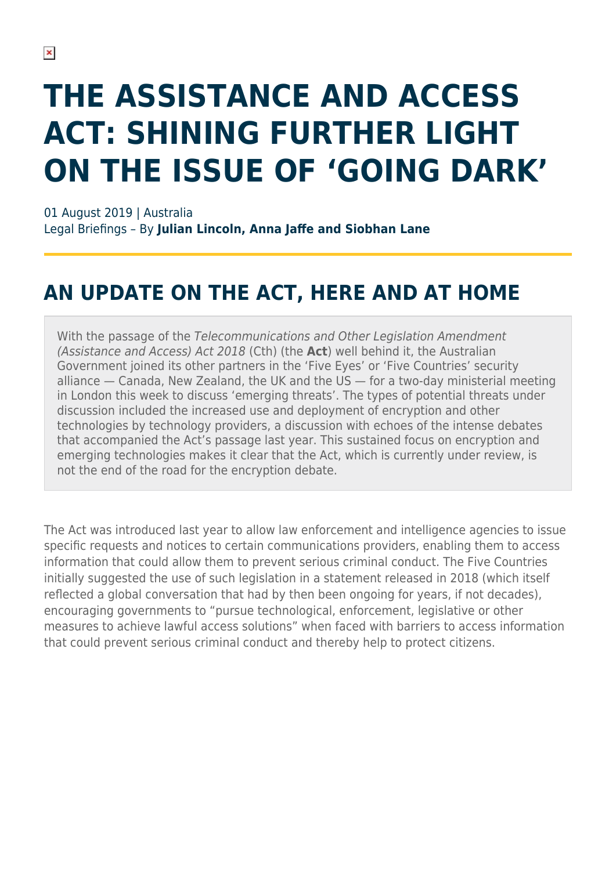# **THE ASSISTANCE AND ACCESS ACT: SHINING FURTHER LIGHT ON THE ISSUE OF 'GOING DARK'**

01 August 2019 | Australia Legal Briefings – By **Julian Lincoln, Anna Jaffe and Siobhan Lane**

#### **AN UPDATE ON THE ACT, HERE AND AT HOME**

With the passage of the Telecommunications and Other Legislation Amendment (Assistance and Access) Act 2018 (Cth) (the **Act**) well behind it, the Australian Government joined its other partners in the 'Five Eyes' or 'Five Countries' security alliance — Canada, New Zealand, the UK and the US — for a two-day ministerial meeting in London this week to discuss 'emerging threats'. The types of potential threats under discussion included the increased use and deployment of encryption and other technologies by technology providers, a discussion with echoes of the intense debates that accompanied the Act's passage last year. This sustained focus on encryption and emerging technologies makes it clear that the Act, which is currently under review, is not the end of the road for the encryption debate.

The Act was introduced last year to allow law enforcement and intelligence agencies to issue specific requests and notices to certain communications providers, enabling them to access information that could allow them to prevent serious criminal conduct. The Five Countries initially suggested the use of such legislation in a statement released in 2018 (which itself reflected a global conversation that had by then been ongoing for years, if not decades), encouraging governments to "pursue technological, enforcement, legislative or other measures to achieve lawful access solutions" when faced with barriers to access information that could prevent serious criminal conduct and thereby help to protect citizens.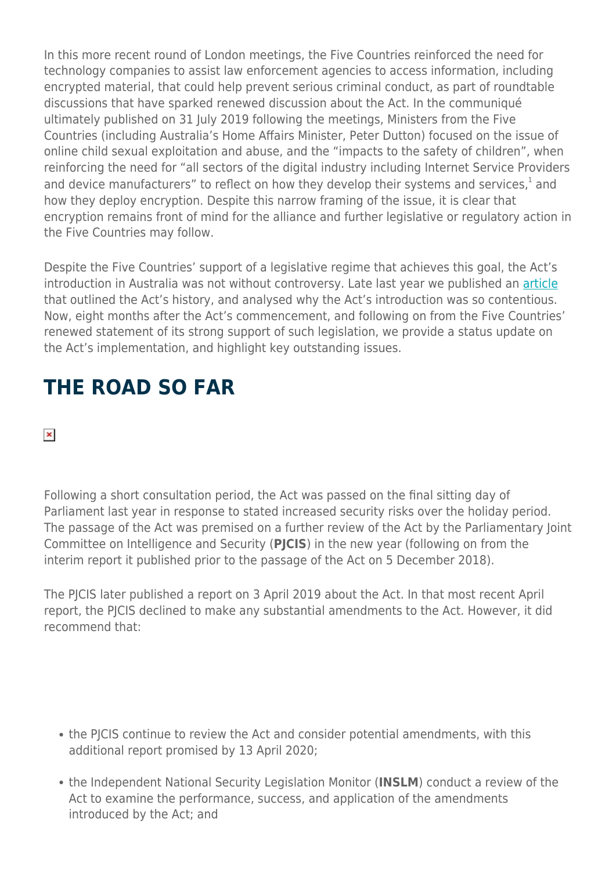In this more recent round of London meetings, the Five Countries reinforced the need for technology companies to assist law enforcement agencies to access information, including encrypted material, that could help prevent serious criminal conduct, as part of roundtable discussions that have sparked renewed discussion about the Act. In the communiqué ultimately published on 31 July 2019 following the meetings, Ministers from the Five Countries (including Australia's Home Affairs Minister, Peter Dutton) focused on the issue of online child sexual exploitation and abuse, and the "impacts to the safety of children", when reinforcing the need for "all sectors of the digital industry including Internet Service Providers and device manufacturers" to reflect on how they develop their systems and services, $^{1}$  and how they deploy encryption. Despite this narrow framing of the issue, it is clear that encryption remains front of mind for the alliance and further legislative or regulatory action in the Five Countries may follow.

Despite the Five Countries' support of a legislative regime that achieves this goal, the Act's introduction in Australia was not without controversy. Late last year we published an [article](https://www.herbertsmithfreehills.com/latest-thinking/the-assistance-and-access-act-2018-the-crypto-wars-final-act-for-2018) that outlined the Act's history, and analysed why the Act's introduction was so contentious. Now, eight months after the Act's commencement, and following on from the Five Countries' renewed statement of its strong support of such legislation, we provide a status update on the Act's implementation, and highlight key outstanding issues.

## **THE ROAD SO FAR**

#### $\pmb{\times}$

Following a short consultation period, the Act was passed on the final sitting day of Parliament last year in response to stated increased security risks over the holiday period. The passage of the Act was premised on a further review of the Act by the Parliamentary Joint Committee on Intelligence and Security (**PJCIS**) in the new year (following on from the interim report it published prior to the passage of the Act on 5 December 2018).

The PICIS later published a report on 3 April 2019 about the Act. In that most recent April report, the PJCIS declined to make any substantial amendments to the Act. However, it did recommend that:

- the PJCIS continue to review the Act and consider potential amendments, with this additional report promised by 13 April 2020;
- the Independent National Security Legislation Monitor (**INSLM**) conduct a review of the Act to examine the performance, success, and application of the amendments introduced by the Act; and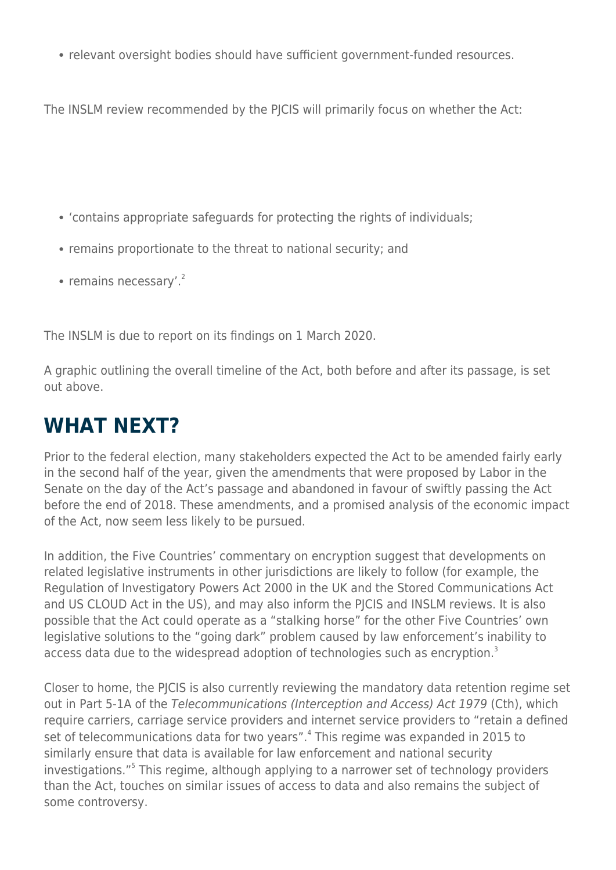• relevant oversight bodies should have sufficient government-funded resources.

The INSLM review recommended by the PICIS will primarily focus on whether the Act:

- 'contains appropriate safeguards for protecting the rights of individuals;
- remains proportionate to the threat to national security; and
- remains necessary'. $2$

The INSLM is due to report on its findings on 1 March 2020.

A graphic outlining the overall timeline of the Act, both before and after its passage, is set out above.

#### **WHAT NEXT?**

Prior to the federal election, many stakeholders expected the Act to be amended fairly early in the second half of the year, given the amendments that were proposed by Labor in the Senate on the day of the Act's passage and abandoned in favour of swiftly passing the Act before the end of 2018. These amendments, and a promised analysis of the economic impact of the Act, now seem less likely to be pursued.

In addition, the Five Countries' commentary on encryption suggest that developments on related legislative instruments in other jurisdictions are likely to follow (for example, the Regulation of Investigatory Powers Act 2000 in the UK and the Stored Communications Act and US CLOUD Act in the US), and may also inform the PJCIS and INSLM reviews. It is also possible that the Act could operate as a "stalking horse" for the other Five Countries' own legislative solutions to the "going dark" problem caused by law enforcement's inability to access data due to the widespread adoption of technologies such as encryption.<sup>3</sup>

Closer to home, the PJCIS is also currently reviewing the mandatory data retention regime set out in Part 5-1A of the Telecommunications (Interception and Access) Act 1979 (Cth), which require carriers, carriage service providers and internet service providers to "retain a defined set of telecommunications data for two years".<sup>4</sup> This regime was expanded in 2015 to similarly ensure that data is available for law enforcement and national security investigations."<sup>5</sup> This regime, although applying to a narrower set of technology providers than the Act, touches on similar issues of access to data and also remains the subject of some controversy.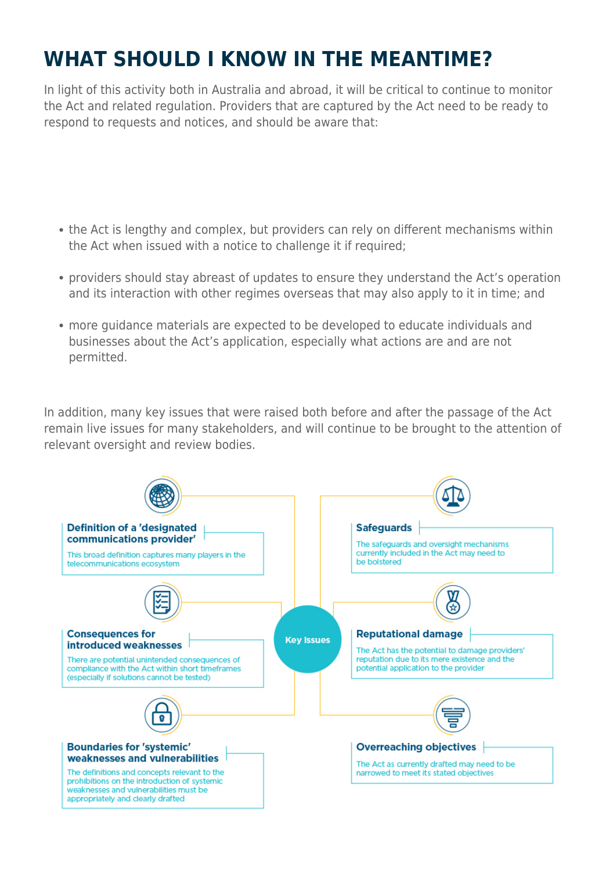# **WHAT SHOULD I KNOW IN THE MEANTIME?**

In light of this activity both in Australia and abroad, it will be critical to continue to monitor the Act and related regulation. Providers that are captured by the Act need to be ready to respond to requests and notices, and should be aware that:

- the Act is lengthy and complex, but providers can rely on different mechanisms within the Act when issued with a notice to challenge it if required;
- providers should stay abreast of updates to ensure they understand the Act's operation and its interaction with other regimes overseas that may also apply to it in time; and
- more guidance materials are expected to be developed to educate individuals and businesses about the Act's application, especially what actions are and are not permitted.

In addition, many key issues that were raised both before and after the passage of the Act remain live issues for many stakeholders, and will continue to be brought to the attention of relevant oversight and review bodies.

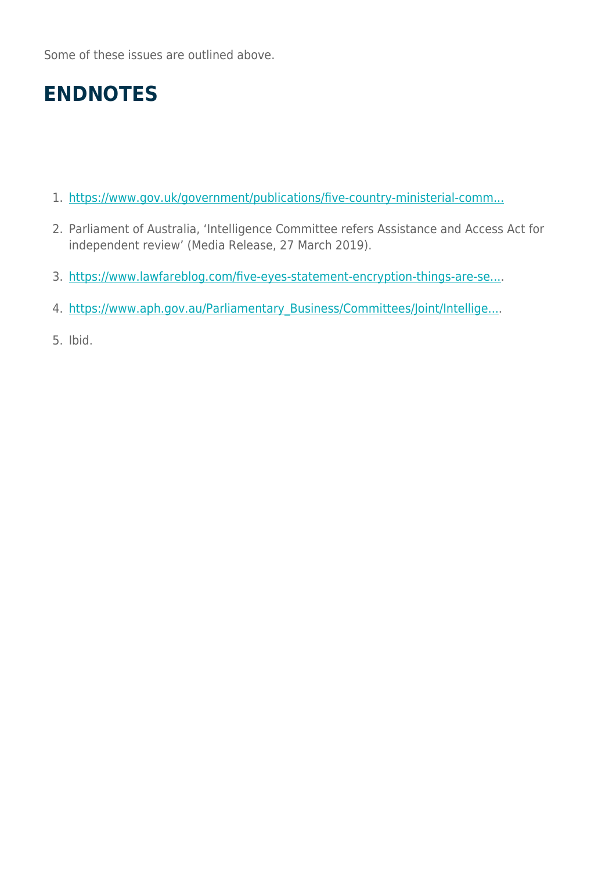Some of these issues are outlined above.

### **ENDNOTES**

- 1. [https://www.gov.uk/government/publications/five-country-ministerial-comm...](https://www.gov.uk/government/publications/five-country-ministerial-communique)
- 2. Parliament of Australia, 'Intelligence Committee refers Assistance and Access Act for independent review' (Media Release, 27 March 2019).
- 3. [https://www.lawfareblog.com/five-eyes-statement-encryption-things-are-se...](https://www.lawfareblog.com/five-eyes-statement-encryption-things-are-seldom-what-they-seem).
- 4. [https://www.aph.gov.au/Parliamentary\\_Business/Committees/Joint/Intellige...](https://www.aph.gov.au/Parliamentary_Business/Committees/Joint/Intelligence_and_Security/Dataretentionregime).
- 5. Ibid.